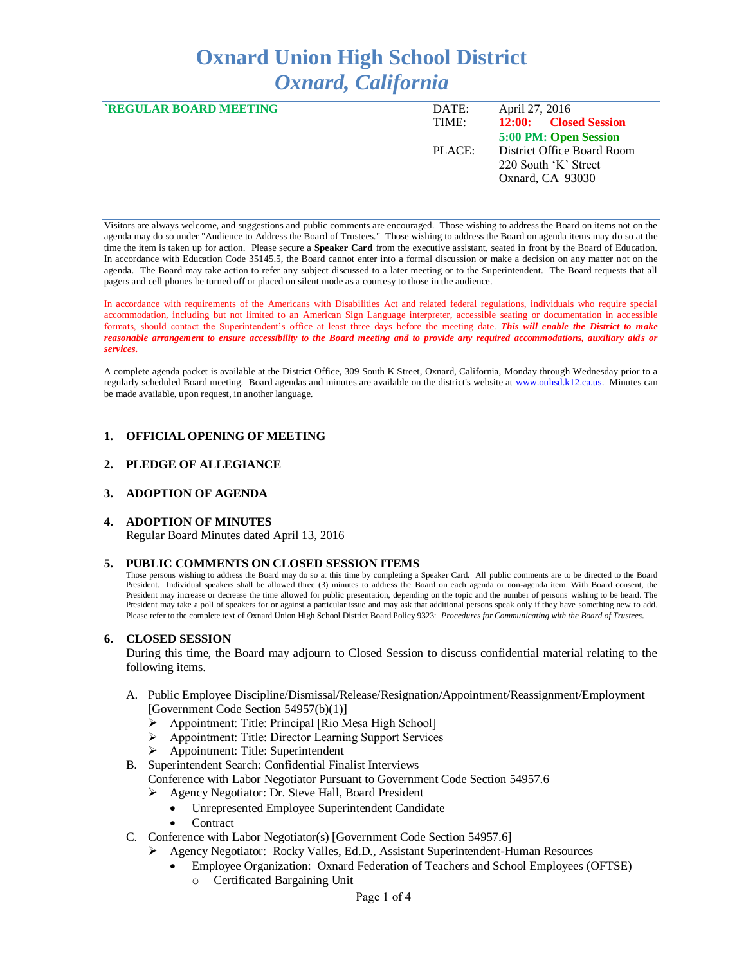# **Oxnard Union High School District** *Oxnard, California*

| <b>REGULAR BOARD MEETING</b> | DATE:  | April 27, 2016             |
|------------------------------|--------|----------------------------|
|                              | TIME:  | 12:00: Closed Session      |
|                              |        | 5:00 PM: Open Session      |
|                              | PLACE: | District Office Board Room |
|                              |        | 220 South 'K' Street       |
|                              |        | Oxnard, CA 93030           |
|                              |        |                            |

Visitors are always welcome, and suggestions and public comments are encouraged. Those wishing to address the Board on items not on the agenda may do so under "Audience to Address the Board of Trustees." Those wishing to address the Board on agenda items may do so at the time the item is taken up for action. Please secure a **Speaker Card** from the executive assistant, seated in front by the Board of Education. In accordance with Education Code 35145.5, the Board cannot enter into a formal discussion or make a decision on any matter not on the agenda. The Board may take action to refer any subject discussed to a later meeting or to the Superintendent. The Board requests that all pagers and cell phones be turned off or placed on silent mode as a courtesy to those in the audience.

In accordance with requirements of the Americans with Disabilities Act and related federal regulations, individuals who require special accommodation, including but not limited to an American Sign Language interpreter, accessible seating or documentation in accessible formats, should contact the Superintendent's office at least three days before the meeting date. *This will enable the District to make reasonable arrangement to ensure accessibility to the Board meeting and to provide any required accommodations, auxiliary aids or services.* 

A complete agenda packet is available at the District Office, 309 South K Street, Oxnard, California, Monday through Wednesday prior to a regularly scheduled Board meeting. Board agendas and minutes are available on the district's website at [www.ouhsd.k12.ca.us.](http://www.ouhsd.k12.ca.us/)Minutes can be made available, upon request, in another language.

#### **1. OFFICIAL OPENING OF MEETING**

## **2. PLEDGE OF ALLEGIANCE**

#### **3. ADOPTION OF AGENDA**

#### **4. ADOPTION OF MINUTES**

Regular Board Minutes dated April 13, 2016

#### **5. PUBLIC COMMENTS ON CLOSED SESSION ITEMS**

Those persons wishing to address the Board may do so at this time by completing a Speaker Card. All public comments are to be directed to the Board President. Individual speakers shall be allowed three (3) minutes to address the Board on each agenda or non-agenda item. With Board consent, the President may increase or decrease the time allowed for public presentation, depending on the topic and the number of persons wishing to be heard. The President may take a poll of speakers for or against a particular issue and may ask that additional persons speak only if they have something new to add. Please refer to the complete text of Oxnard Union High School District Board Policy 9323: *Procedures for Communicating with the Board of Trustees*.

#### **6. CLOSED SESSION**

During this time, the Board may adjourn to Closed Session to discuss confidential material relating to the following items.

- A. Public Employee Discipline/Dismissal/Release/Resignation/Appointment/Reassignment/Employment [Government Code Section 54957(b)(1)]
	- $\triangleright$  Appointment: Title: Principal [Rio Mesa High School]
	- Appointment: Title: Director Learning Support Services
	- Appointment: Title: Superintendent
- B. Superintendent Search: Confidential Finalist Interviews
	- Conference with Labor Negotiator Pursuant to Government Code Section 54957.6
		- Agency Negotiator: Dr. Steve Hall, Board President
			- Unrepresented Employee Superintendent Candidate
			- **Contract**
- C. Conference with Labor Negotiator(s) [Government Code Section 54957.6]
	- Agency Negotiator: Rocky Valles, Ed.D., Assistant Superintendent-Human Resources
		- Employee Organization: Oxnard Federation of Teachers and School Employees (OFTSE) o Certificated Bargaining Unit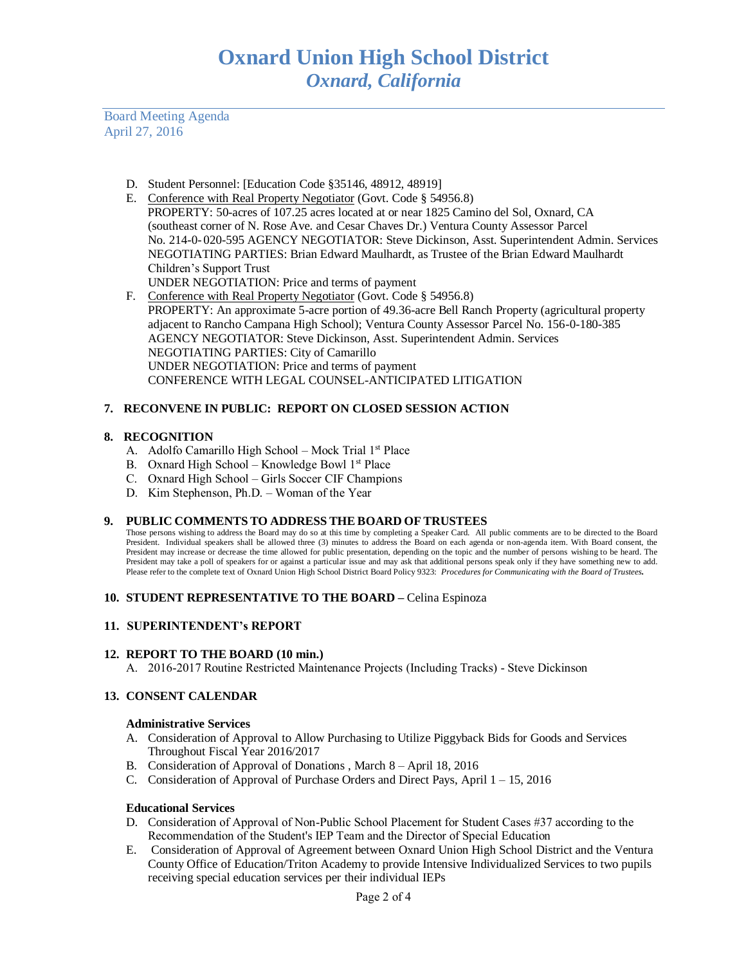Board Meeting Agenda April 27, 2016

- D. Student Personnel: [Education Code §35146, 48912, 48919]
- E. Conference with Real Property Negotiator (Govt. Code § 54956.8) PROPERTY: 50-acres of 107.25 acres located at or near 1825 Camino del Sol, Oxnard, CA (southeast corner of N. Rose Ave. and Cesar Chaves Dr.) Ventura County Assessor Parcel No. 214-0- 020-595 AGENCY NEGOTIATOR: Steve Dickinson, Asst. Superintendent Admin. Services NEGOTIATING PARTIES: Brian Edward Maulhardt, as Trustee of the Brian Edward Maulhardt Children's Support Trust
	- UNDER NEGOTIATION: Price and terms of payment
- F. Conference with Real Property Negotiator (Govt. Code § 54956.8) PROPERTY: An approximate 5-acre portion of 49.36-acre Bell Ranch Property (agricultural property adjacent to Rancho Campana High School); Ventura County Assessor Parcel No. 156-0-180-385 AGENCY NEGOTIATOR: Steve Dickinson, Asst. Superintendent Admin. Services NEGOTIATING PARTIES: City of Camarillo UNDER NEGOTIATION: Price and terms of payment CONFERENCE WITH LEGAL COUNSEL-ANTICIPATED LITIGATION

# **7. RECONVENE IN PUBLIC: REPORT ON CLOSED SESSION ACTION**

## **8. RECOGNITION**

- A. Adolfo Camarillo High School Mock Trial 1<sup>st</sup> Place
- B. Oxnard High School Knowledge Bowl  $1<sup>st</sup>$  Place
- C. Oxnard High School Girls Soccer CIF Champions
- D. Kim Stephenson, Ph.D. Woman of the Year

#### **9. PUBLIC COMMENTS TO ADDRESS THE BOARD OF TRUSTEES**

Those persons wishing to address the Board may do so at this time by completing a Speaker Card. All public comments are to be directed to the Board President. Individual speakers shall be allowed three (3) minutes to address the Board on each agenda or non-agenda item. With Board consent, the President may increase or decrease the time allowed for public presentation, depending on the topic and the number of persons wishing to be heard. The President may take a poll of speakers for or against a particular issue and may ask that additional persons speak only if they have something new to add. Please refer to the complete text of Oxnard Union High School District Board Policy 9323: *Procedures for Communicating with the Board of Trustees.*

#### **10. STUDENT REPRESENTATIVE TO THE BOARD –** Celina Espinoza

# **11. SUPERINTENDENT's REPORT**

#### **12. REPORT TO THE BOARD (10 min.)**

A. 2016-2017 Routine Restricted Maintenance Projects (Including Tracks) - Steve Dickinson

# **13. CONSENT CALENDAR**

#### **Administrative Services**

- A. Consideration of Approval to Allow Purchasing to Utilize Piggyback Bids for Goods and Services Throughout Fiscal Year 2016/2017
- B. Consideration of Approval of Donations , March 8 April 18, 2016
- C. Consideration of Approval of Purchase Orders and Direct Pays, April 1 15, 2016

#### **Educational Services**

- D. Consideration of Approval of Non-Public School Placement for Student Cases #37 according to the Recommendation of the Student's IEP Team and the Director of Special Education
- E. Consideration of Approval of Agreement between Oxnard Union High School District and the Ventura County Office of Education/Triton Academy to provide Intensive Individualized Services to two pupils receiving special education services per their individual IEPs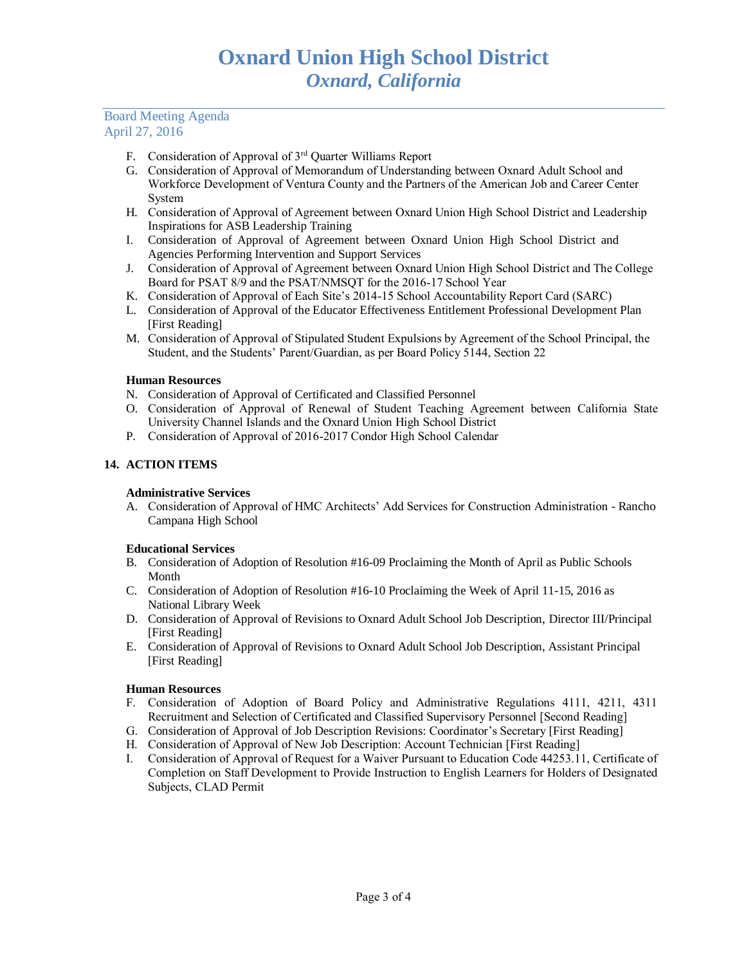## Board Meeting Agenda April 27, 2016

- F. Consideration of Approval of 3rd Quarter Williams Report
- G. Consideration of Approval of Memorandum of Understanding between Oxnard Adult School and Workforce Development of Ventura County and the Partners of the American Job and Career Center System
- H. Consideration of Approval of Agreement between Oxnard Union High School District and Leadership Inspirations for ASB Leadership Training
- I. Consideration of Approval of Agreement between Oxnard Union High School District and Agencies Performing Intervention and Support Services
- J. Consideration of Approval of Agreement between Oxnard Union High School District and The College Board for PSAT 8/9 and the PSAT/NMSQT for the 2016-17 School Year
- K. Consideration of Approval of Each Site's 2014-15 School Accountability Report Card (SARC)
- L. Consideration of Approval of the Educator Effectiveness Entitlement Professional Development Plan [First Reading]
- M. Consideration of Approval of Stipulated Student Expulsions by Agreement of the School Principal, the Student, and the Students' Parent/Guardian, as per Board Policy 5144, Section 22

## **Human Resources**

- N. Consideration of Approval of Certificated and Classified Personnel
- O. Consideration of Approval of Renewal of Student Teaching Agreement between California State University Channel Islands and the Oxnard Union High School District
- P. Consideration of Approval of 2016-2017 Condor High School Calendar

# **14. ACTION ITEMS**

#### **Administrative Services**

A. Consideration of Approval of HMC Architects' Add Services for Construction Administration - Rancho Campana High School

#### **Educational Services**

- B. Consideration of Adoption of Resolution #16-09 Proclaiming the Month of April as Public Schools Month
- C. Consideration of Adoption of Resolution #16-10 Proclaiming the Week of April 11-15, 2016 as National Library Week
- D. Consideration of Approval of Revisions to Oxnard Adult School Job Description, Director III/Principal [First Reading]
- E. Consideration of Approval of Revisions to Oxnard Adult School Job Description, Assistant Principal [First Reading]

#### **Human Resources**

- F. Consideration of Adoption of Board Policy and Administrative Regulations 4111, 4211, 4311 Recruitment and Selection of Certificated and Classified Supervisory Personnel [Second Reading]
- G. Consideration of Approval of Job Description Revisions: Coordinator's Secretary [First Reading]
- H. Consideration of Approval of New Job Description: Account Technician [First Reading]
- I. Consideration of Approval of Request for a Waiver Pursuant to Education Code 44253.11, Certificate of Completion on Staff Development to Provide Instruction to English Learners for Holders of Designated Subjects, CLAD Permit